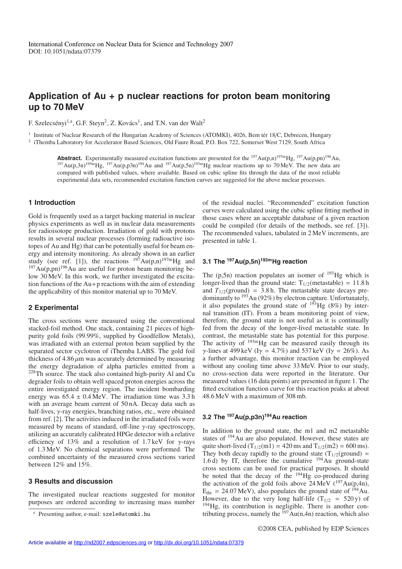# **Application of Au + p nuclear reactions for proton beam monitoring up to 70 MeV**

F. Szelecsényi<sup>1,a</sup>, G.F. Steyn<sup>2</sup>, Z. Kovács<sup>1</sup>, and T.N. van der Walt<sup>2</sup>

<sup>1</sup> Institute of Nuclear Research of the Hungarian Academy of Sciences (ATOMKI), 4026, Bem tér 18/C, Debrecen, Hungary <sup>2</sup> iThemba Laboratory for Accelerator Based Sciences, Old Faure Road, P.O. Box 722, Somerset West 7129, South Africa

**Abstract.** Experimentally measured excitation functions are presented for the  $^{197}Au(p,n)^{197m}Hg$ ,  $^{197}Au(p,pn)^{196}Au$ , <sup>197</sup>Au(p,3n)<sup>195m</sup>Hg, <sup>197</sup>Au(p,p3n)<sup>194</sup>Au and <sup>197</sup>Au(p,5n)<sup>193m</sup>Hg nuclear reactions up to 70 MeV. The new data are compared with published values, where available. Based on cubic spline fits through the data of the most reliable experimental data sets, recommended excitation function curves are suggested for the above nuclear processes.

#### **1 Introduction**

Gold is frequently used as a target backing material in nuclear physics experiments as well as in nuclear data measurements for radioisotope production. Irradiation of gold with protons results in several nuclear processes (forming radioactive isotopes of Au and Hg) that can be potentially useful for beam energy and intensity monitoring. As already shown in an earlier study (see ref. [1]), the reactions  $197Au(p,n)^{197m}Hg$  and  $197$ Au(p,pn)<sup>196</sup>Au are useful for proton beam monitoring below 30 MeV. In this work, we further investigated the excitation functions of the  $Au + p$  reactions with the aim of extending the applicability of this monitor material up to 70 MeV.

#### **2 Experimental**

The cross sections were measured using the conventional stacked-foil method. One stack, containing 21 pieces of highpurity gold foils (99.99%, supplied by Goodfellow Metals), was irradiated with an external proton beam supplied by the separated sector cyclotron of iThemba LABS. The gold foil thickness of  $4.86 \mu m$  was accurately determined by measuring the energy degradation of alpha particles emitted from a <sup>228</sup>Th source. The stack also contained high-purity Al and Cu degrader foils to obtain well spaced proton energies across the entire investigated energy region. The incident bombarding energy was  $65.4 \pm 0.4$  MeV. The irradiation time was  $3.3$  h with an average beam current of 50 nA. Decay data such as half-lives, γ-ray energies, branching ratios, etc., were obtained from ref. [2]. The activities induced in the irradiated foils were measured by means of standard, off-line  $\gamma$ -ray spectroscopy, utilizing an accurately calibrated HPGe detector with a relative efficiency of 13% and a resolution of 1.7 keV for  $\nu$ -rays of 1.3 MeV. No chemical separations were performed. The combined uncertainty of the measured cross sections varied between 12% and 15%.

#### **3 Results and discussion**

The investigated nuclear reactions suggested for monitor purposes are ordered according to increasing mass number of the residual nuclei. "Recommended" excitation function curves were calculated using the cubic spline fitting method in those cases where an acceptable database of a given reaction could be compiled (for details of the methods, see ref. [3]). The recommended values, tabulated in 2 MeV increments, are presented in table 1.

#### **3.1 The 197Au(p,5n)193mHg reaction**

The  $(p, 5n)$  reaction populates an isomer of  $193$ Hg which is longer-lived than the ground state:  $T_{1/2}$ (metastable) = 11.8 h and  $T_{1/2}$ (ground) = 3.8 h. The metastable state decays predominantly to  $193$  Au (92%) by electron capture. Unfortunately, it also populates the ground state of  $193$ Hg (8%) by internal transition (IT). From a beam monitoring point of view, therefore, the ground state is not useful as it is continually fed from the decay of the longer-lived metastable state. In contrast, the metastable state has potential for this purpose. The activity of  $193 \text{mHg}$  can be measured easily through its γ-lines at 499 keV (Iγ = 4.7%) and 537 keV (Iγ = 26%). As a further advantage, this monitor reaction can be employed without any cooling time above 33 MeV. Prior to our study, no cross-section data were reported in the literature. Our measured values (16 data points) are presented in figure 1. The fitted excitation function curve for this reaction peaks at about 48.6 MeV with a maximum of 308 mb.

### **3.2 The 197Au(p,p3n)194Au reaction**

In addition to the ground state, the m1 and m2 metastable states of <sup>194</sup>Au are also populated. However, these states are quite short-lived  $(T_{1/2}(m1) = 420 \text{ ms and } T_{1/2}(m2) = 600 \text{ ms}).$ They both decay rapidly to the ground state  $(T_{1/2}(\text{ground}) =$ 1.6 d) by IT, therefore the cumulative  $^{194}$ Au ground-state cross sections can be used for practical purposes. It should be noted that the decay of the  $^{194}$ Hg co-produced during the activation of the gold foils above  $24 \text{ MeV}$  ( $^{197} \text{Au}(p,4n)$ ,  $E_{\text{thr}} = 24.07 \text{ MeV}$ , also populates the ground state of  $194 \text{ Au}$ . However, due to the very long half-life  $(T_{1/2} = 520 \text{ y})$  of <sup>194</sup>Hg, its contribution is negligible. There is another contributing process, namely the  $197Au(n,4n)$  reaction, which also

Presenting author, e-mail: szele@atomki.hu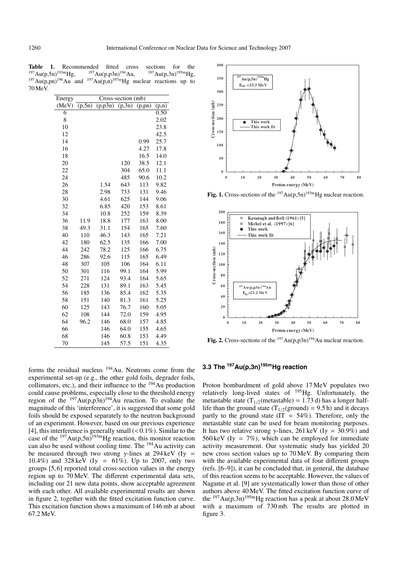**Table 1.** Recommended fitted cross sections for the  $^{197}$ Au(p,5n)<sup>193m</sup>Hg,  $^{197}$ Au(p,5n)<sup>195m</sup>Hg,  $^{197}Au(p,5n)^{193m}Hg$ ,  $^{197}Au(p,p3n)^{194}Au$ ,  $^{197}Au(p,3n)^{195m}Hg$ ,  $197 \text{Au}(p,pn)$ <sup>196</sup>Au and  $197 \text{Au}(p,n)$ <sup>197</sup>mHg nuclear reactions up to 70 MeV.

| Energy | Cross-section (mb) |          |                     |         |       |
|--------|--------------------|----------|---------------------|---------|-------|
| (MeV)  | (p, 5n)            | (p, p3n) | $\overline{(p,3n)}$ | (p, pn) | (p,n) |
| 6      |                    |          |                     |         | 0.50  |
| 8      |                    |          |                     |         | 2.02  |
| 10     |                    |          |                     |         | 23.8  |
| 12     |                    |          |                     |         | 42.5  |
| 14     |                    |          |                     | 0.99    | 25.7  |
| 16     |                    |          |                     | 4.27    | 17.8  |
| 18     |                    |          |                     | 16.5    | 14.0  |
| 20     |                    |          | 120                 | 38.5    | 12.1  |
| 22     |                    |          | 304                 | 65.0    | 11.1  |
| 24     |                    |          | 485                 | 90.6    | 10.2  |
| 26     |                    | 1.54     | 643                 | 113     | 9.82  |
| 28     |                    | 2.98     | 733                 | 131     | 9.46  |
| 30     |                    | 4.61     | 625                 | 144     | 9.06  |
| 32     |                    | 6.85     | 420                 | 153     | 8.61  |
| 34     |                    | 10.8     | 252                 | 159     | 8.39  |
| 36     | 11.9               | 18.8     | 177                 | 163     | 8.00  |
| 38     | 49.3               | 31.1     | 154                 | 165     | 7.60  |
| 40     | 110                | 46.3     | 143                 | 165     | 7.21  |
| 42     | 180                | 62.5     | 135                 | 166     | 7.00  |
| 44     | 242                | 78.2     | 125                 | 166     | 6.75  |
| 46     | 286                | 92.6     | 115                 | 165     | 6.49  |
| 48     | 307                | 105      | 106                 | 164     | 6.11  |
| 50     | 301                | 116      | 99.1                | 164     | 5.99  |
| 52     | 271                | 124      | 93.4                | 164     | 5.65  |
| 54     | 228                | 131      | 89.1                | 163     | 5.45  |
| 56     | 185                | 136      | 85.4                | 162     | 5.35  |
| 58     | 151                | 140      | 81.3                | 161     | 5.25  |
| 60     | 125                | 143      | 76.7                | 160     | 5.05  |
| 62     | 108                | 144      | 72.0                | 159     | 4.95  |
| 64     | 96.2               | 146      | 68.0                | 157     | 4.85  |
| 66     |                    | 146      | 64.0                | 155     | 4.65  |
| 68     |                    | 146      | 60.8                | 153     | 4.49  |
| 70     |                    | 145      | 57.5                | 151     | 4.35  |

forms the residual nucleus  $194$ Au. Neutrons come from the experimental set-up (e.g., the other gold foils, degrader foils, collimators, etc.), and their influence to the  $194$ Au production could cause problems, especially close to the threshold energy region of the  $197 \text{Au}(p,p3n)$ <sup>194</sup>Au reaction. To evaluate the magnitude of this 'interference', it is suggested that some gold foils should be exposed separately to the neutron background of an experiment. However, based on our previous experience [4], this interference is generally small  $( $0.1\%$ ).$  Similar to the case of the <sup>197</sup>Au(p,5n)<sup>193m</sup>Hg reaction, this monitor reaction can also be used without cooling time. The 194Au activity can be measured through two strong  $\gamma$ -lines at 294 keV (I $\gamma$  = 10.4%) and 328 keV (I $\gamma$  = 61%). Up to 2007, only two groups [5, 6] reported total cross-section values in the energy region up to 70 MeV. The different experimental data sets, including our 21 new data points, show acceptable agreement with each other. All available experimental results are shown in figure 2, together with the fitted excitation function curve. This excitation function shows a maximum of 146 mb at about 67.2 MeV.



**Fig. 1.** Cross-sections of the  $197Au(p,5n)^{193m}Hg$  nuclear reaction.



**Fig. 2.** Cross-sections of the  $^{197}Au(p,p3n)^{194}Au$  nuclear reaction.

#### **3.3 The 197Au(p,3n)195mHg reaction**

Proton bombardment of gold above 17 MeV populates two relatively long-lived states of 195Hg. Unfortunately, the metastable state (T<sub>1/2</sub>(metastable) = 1.73 d) has a longer halflife than the ground state  $(T_{1/2}(\text{ground}) = 9.5 \text{ h})$  and it decays partly to the ground state ( $IT = 54\%$ ). Therefore, only the metastable state can be used for beam monitoring purposes. It has two relative strong  $\gamma$ -lines, 261 keV (I $\gamma$  = 30.9%) and 560 keV (I $\gamma = 7\%$ ), which can be employed for immediate activity measurement. Our systematic study has yielded 20 new cross section values up to 70 MeV. By comparing them with the available experimental data of four different groups (refs. [6–9]), it can be concluded that, in general, the database of this reaction seems to be acceptable. However, the values of Nagame et al. [9] are systematically lower than those of other authors above 40 MeV. The fitted excitation function curve of the  $197 \text{Au}(p,3n)$ <sup>195m</sup>Hg reaction has a peak at about 28.0 MeV with a maximum of 730 mb. The results are plotted in figure 3.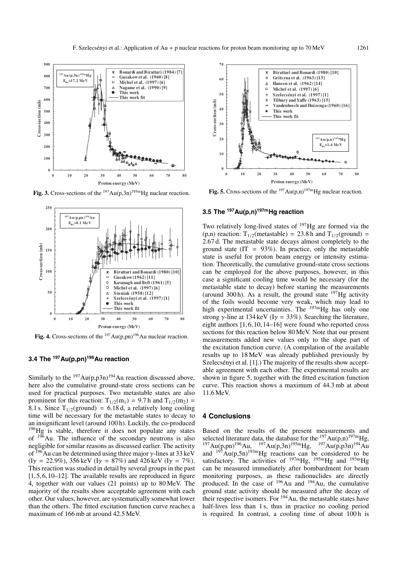

**Fig. 3.** Cross-sections of the  $197 \text{Au}(p,3n)$ <sup>195m</sup>Hg nuclear reaction.



**Fig. 4.** Cross-sections of the  $^{197}Au(p,pn)^{196}Au$  nuclear reaction.

# **3.4 The 197Au(p,pn)196Au reaction**

Similarly to the  $197Au(p,p3n)^{194}Au$  reaction discussed above, here also the cumulative ground-state cross sections can be used for practical purposes. Two metastable states are also prominent for this reaction:  $T_{1/2}(m_1) = 9.7$  h and  $T_{1/2}(m_2) =$ 8.1 s. Since  $T_{1/2}(\text{ground}) = 6.18 \text{ d}$ , a relatively long cooling time will be necessary for the metastable states to decay to an insignificant level (around 100 h). Luckily, the co-produced <sup>196</sup>Hg is stable, therefore it does not populate any states of 196Au. The influence of the secondary neutrons is also negligible for similar reasons as discussed earlier. The activity of  $196$ Au can be determined using three major  $\gamma$ -lines at 33 keV  $(I\gamma = 22.9\%), 356 \,\text{keV}$   $(I\gamma = 87\%)$  and 426 keV  $(I\gamma = 7\%).$ This reaction was studied in detail by several groups in the past  $[1, 5, 6, 10-12]$ . The available results are reproduced in figure 4, together with our values (21 points) up to 80 MeV. The majority of the results show acceptable agreement with each other. Our values, however, are systematically somewhat lower than the others. The fitted excitation function curve reaches a maximum of 166 mb at around 42.5 MeV.



**Fig. 5.** Cross-sections of the  $197 \text{Au}(p,n)$ <sup>197m</sup>Hg nuclear reaction.

## **3.5 The 197Au(p,n)197mHg reaction**

Two relatively long-lived states of  $197$ Hg are formed via the (p,n) reaction:  $T_{1/2}$ (metastable) = 23.8 h and  $T_{1/2}$ (ground) = 2.67 d. The metastable state decays almost completely to the ground state  $(IT = 93\%)$ . In practice, only the metastable state is useful for proton beam energy or intensity estimation. Theoretically, the cumulative ground-state cross sections can be employed for the above purposes, however, in this case a significant cooling time would be necessary (for the metastable state to decay) before starting the measurements (around 300 h). As a result, the ground state  $^{197}$ Hg activity of the foils would become very weak, which may lead to high experimental uncertainties. The  $^{197m}$ Hg has only one strong γ-line at 134 keV (I $\gamma$  = 33%). Searching the literature, eight authors [1, 6, 10, 14–16] were found who reported cross sections for this reaction below 80 MeV. Note that our present measurements added new values only to the slope part of the excitation function curve. (A compilation of the available results up to 18 MeV was already published previously by Szelecsényi et al. [1].) The majority of the results show acceptable agreement with each other. The experimental results are shown in figure 5, together with the fitted excitation function curve. This reaction shows a maximum of 44.3 mb at about 11.6 MeV.

#### **4 Conclusions**

Based on the results of the present measurements and selected literature data, the database for the  $^{197}Au(p,n)^{197m}Hg$ , <sup>197</sup>Au(p,pn)<sup>196</sup>Au, <sup>197</sup>Au(p,3n)<sup>195m</sup>Hg, <sup>197</sup>Au(p,p3n)<sup>194</sup>Au and  $197 \text{Au}(p,5n)$ <sup>193m</sup>Hg reactions can be considered to be satisfactory. The activities of  $^{197m}Hg$ ,  $^{195m}Hg$  and  $^{193m}Hg$ can be measured immediately after bombardment for beam monitoring purposes, as these radionuclides are directly produced. In the case of  $196$ Au and  $194$ Au, the cumulative ground state activity should be measured after the decay of their respective isomers. For 194Au, the metastable states have half-lives less than 1 s, thus in practice no cooling period is required. In contrast, a cooling time of about 100h is